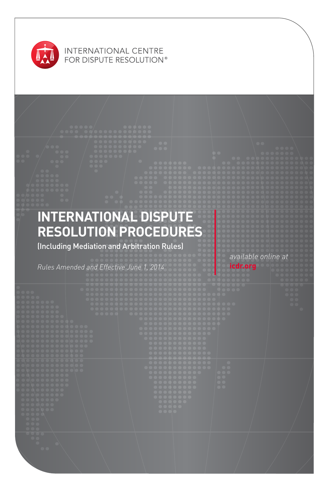

**INTERNATIONAL CENTRE** FOR DISPUTE RESOLUTION®

# **INTERNATIONAL DISPUTE RESOLUTION PROCEDURES**

(Including Mediation and Arbitration Rules)

*Rules Amended and Effective June 1, 2014*

*available online at*

**icdr.org**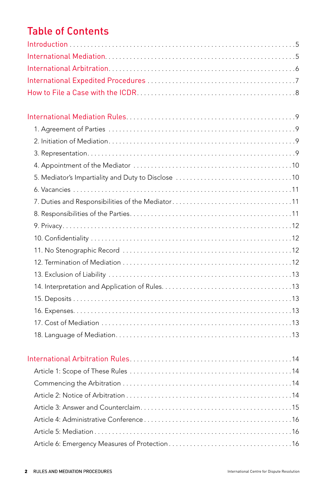# Table of Contents

| 7. Duties and Responsibilities of the Mediator11 |
|--------------------------------------------------|
|                                                  |
|                                                  |
|                                                  |
|                                                  |
|                                                  |
|                                                  |
|                                                  |
|                                                  |
|                                                  |
|                                                  |
|                                                  |
|                                                  |
|                                                  |
|                                                  |
|                                                  |
|                                                  |
|                                                  |
|                                                  |
|                                                  |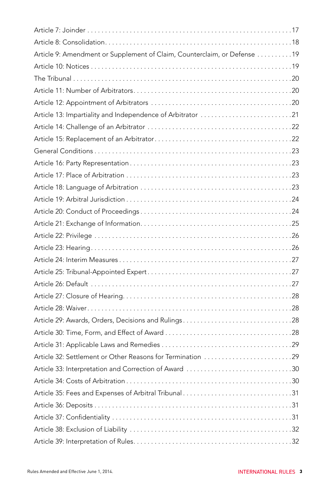| Article 9: Amendment or Supplement of Claim, Counterclaim, or Defense 19 |
|--------------------------------------------------------------------------|
|                                                                          |
|                                                                          |
|                                                                          |
|                                                                          |
| Article 13: Impartiality and Independence of Arbitrator 21               |
|                                                                          |
|                                                                          |
|                                                                          |
|                                                                          |
|                                                                          |
|                                                                          |
|                                                                          |
|                                                                          |
|                                                                          |
|                                                                          |
|                                                                          |
|                                                                          |
|                                                                          |
|                                                                          |
|                                                                          |
|                                                                          |
| Article 29: Awards, Orders, Decisions and Rulings28                      |
|                                                                          |
|                                                                          |
| Article 32: Settlement or Other Reasons for Termination 29               |
| Article 33: Interpretation and Correction of Award 30                    |
|                                                                          |
| Article 35: Fees and Expenses of Arbitral Tribunal31                     |
|                                                                          |
|                                                                          |
|                                                                          |
|                                                                          |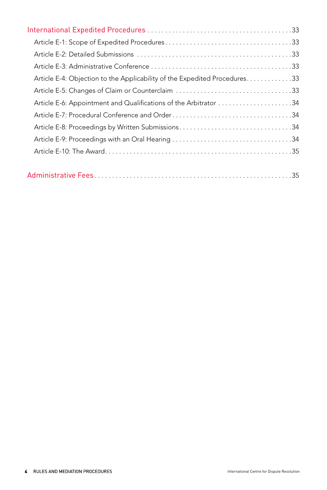| Article E-4: Objection to the Applicability of the Expedited Procedures33 |
|---------------------------------------------------------------------------|
| Article E-5: Changes of Claim or Counterclaim 33                          |
|                                                                           |
|                                                                           |
|                                                                           |
|                                                                           |
|                                                                           |
|                                                                           |

**4** RULES AND MEDIATION PROCEDURES **International Centre for Dispute Resolution**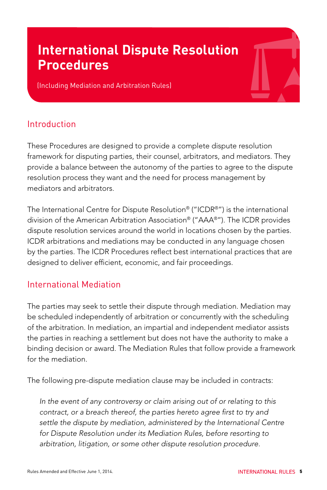# **International Dispute Resolution Procedures**

(Including Mediation and Arbitration Rules)

# Introduction

These Procedures are designed to provide a complete dispute resolution framework for disputing parties, their counsel, arbitrators, and mediators. They provide a balance between the autonomy of the parties to agree to the dispute resolution process they want and the need for process management by mediators and arbitrators.

The International Centre for Dispute Resolution® ("ICDR®") is the international division of the American Arbitration Association® ("AAA®"). The ICDR provides dispute resolution services around the world in locations chosen by the parties. ICDR arbitrations and mediations may be conducted in any language chosen by the parties. The ICDR Procedures reflect best international practices that are designed to deliver efficient, economic, and fair proceedings.

# International Mediation

The parties may seek to settle their dispute through mediation. Mediation may be scheduled independently of arbitration or concurrently with the scheduling of the arbitration. In mediation, an impartial and independent mediator assists the parties in reaching a settlement but does not have the authority to make a binding decision or award. The Mediation Rules that follow provide a framework for the mediation.

The following pre-dispute mediation clause may be included in contracts:

*In the event of any controversy or claim arising out of or relating to this contract, or a breach thereof, the parties hereto agree first to try and settle the dispute by mediation, administered by the International Centre for Dispute Resolution under its Mediation Rules, before resorting to arbitration, litigation, or some other dispute resolution procedure.*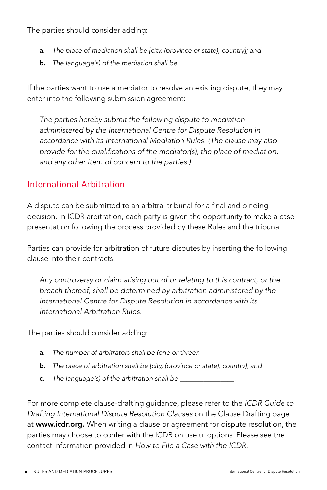The parties should consider adding:

- a. *The place of mediation shall be [city, (province or state), country]; and*
- **b.** The language(s) of the mediation shall be  $\blacksquare$ .

If the parties want to use a mediator to resolve an existing dispute, they may enter into the following submission agreement:

*The parties hereby submit the following dispute to mediation administered by the International Centre for Dispute Resolution in accordance with its International Mediation Rules. (The clause may also provide for the qualifications of the mediator(s), the place of mediation, and any other item of concern to the parties.)*

# International Arbitration

A dispute can be submitted to an arbitral tribunal for a final and binding decision. In ICDR arbitration, each party is given the opportunity to make a case presentation following the process provided by these Rules and the tribunal.

Parties can provide for arbitration of future disputes by inserting the following clause into their contracts:

*Any controversy or claim arising out of or relating to this contract, or the breach thereof, shall be determined by arbitration administered by the International Centre for Dispute Resolution in accordance with its International Arbitration Rules.*

The parties should consider adding:

- a. *The number of arbitrators shall be (one or three);*
- b. *The place of arbitration shall be [city, (province or state), country]; and*
- c. *The language(s) of the arbitration shall be \_\_\_\_\_\_\_\_\_\_\_\_\_\_\_\_.*

For more complete clause-drafting guidance, please refer to the *ICDR Guide to Drafting International Dispute Resolution Clauses* on the Clause Drafting page at www.icdr.org. When writing a clause or agreement for dispute resolution, the parties may choose to confer with the ICDR on useful options. Please see the contact information provided in *How to File a Case with the ICDR.*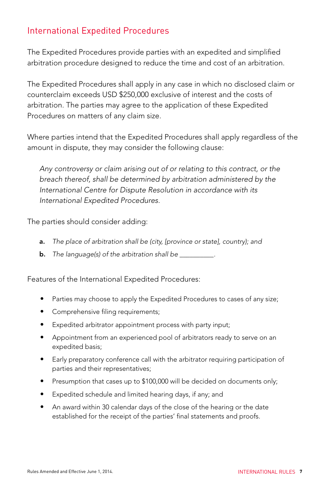# International Expedited Procedures

The Expedited Procedures provide parties with an expedited and simplified arbitration procedure designed to reduce the time and cost of an arbitration.

The Expedited Procedures shall apply in any case in which no disclosed claim or counterclaim exceeds USD \$250,000 exclusive of interest and the costs of arbitration. The parties may agree to the application of these Expedited Procedures on matters of any claim size.

Where parties intend that the Expedited Procedures shall apply regardless of the amount in dispute, they may consider the following clause:

*Any controversy or claim arising out of or relating to this contract, or the breach thereof, shall be determined by arbitration administered by the International Centre for Dispute Resolution in accordance with its International Expedited Procedures.*

The parties should consider adding:

- a. *The place of arbitration shall be (city, [province or state], country); and*
- b. *The language(s) of the arbitration shall be \_\_\_\_\_\_\_\_\_\_.*

Features of the International Expedited Procedures:

- Parties may choose to apply the Expedited Procedures to cases of any size;
- Comprehensive filing requirements;
- Expedited arbitrator appointment process with party input;
- Appointment from an experienced pool of arbitrators ready to serve on an expedited basis;
- Early preparatory conference call with the arbitrator requiring participation of parties and their representatives;
- Presumption that cases up to \$100,000 will be decided on documents only;
- Expedited schedule and limited hearing days, if any; and
- An award within 30 calendar days of the close of the hearing or the date established for the receipt of the parties' final statements and proofs.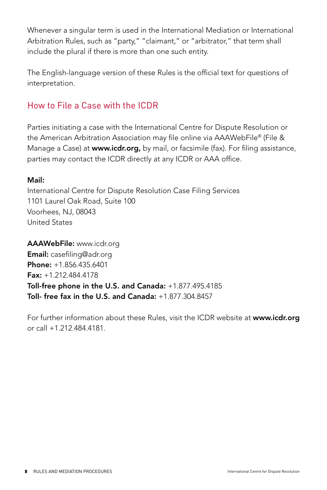Whenever a singular term is used in the International Mediation or International Arbitration Rules, such as "party," "claimant," or "arbitrator," that term shall include the plural if there is more than one such entity.

The English-language version of these Rules is the official text for questions of interpretation.

# How to File a Case with the ICDR

Parties initiating a case with the International Centre for Dispute Resolution or the American Arbitration Association may file online via AAAWebFile® (File & Manage a Case) at **www.icdr.org,** by mail, or facsimile (fax). For filing assistance, parties may contact the ICDR directly at any ICDR or AAA office.

#### Mail:

International Centre for Dispute Resolution Case Filing Services 1101 Laurel Oak Road, Suite 100 Voorhees, NJ, 08043 United States

AAAWebFile: www.icdr.org Email: casefiling@adr.org **Phone:** +1.856.435.6401 Fax: +1.212.484.4178 Toll-free phone in the U.S. and Canada: +1.877.495.4185 Toll- free fax in the U.S. and Canada: +1.877.304.8457

For further information about these Rules, visit the ICDR website at **www.icdr.org** or call +1.212.484.4181.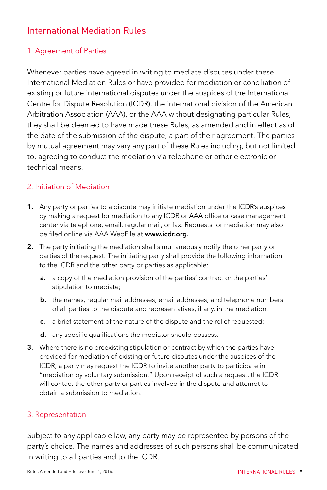# International Mediation Rules

# 1. Agreement of Parties

Whenever parties have agreed in writing to mediate disputes under these International Mediation Rules or have provided for mediation or conciliation of existing or future international disputes under the auspices of the International Centre for Dispute Resolution (ICDR), the international division of the American Arbitration Association (AAA), or the AAA without designating particular Rules, they shall be deemed to have made these Rules, as amended and in effect as of the date of the submission of the dispute, a part of their agreement. The parties by mutual agreement may vary any part of these Rules including, but not limited to, agreeing to conduct the mediation via telephone or other electronic or technical means.

# 2. Initiation of Mediation

- 1. Any party or parties to a dispute may initiate mediation under the ICDR's auspices by making a request for mediation to any ICDR or AAA office or case management center via telephone, email, regular mail, or fax. Requests for mediation may also be filed online via AAA WebFile at www.icdr.org.
- 2. The party initiating the mediation shall simultaneously notify the other party or parties of the request. The initiating party shall provide the following information to the ICDR and the other party or parties as applicable:
	- a. a copy of the mediation provision of the parties' contract or the parties' stipulation to mediate;
	- b. the names, regular mail addresses, email addresses, and telephone numbers of all parties to the dispute and representatives, if any, in the mediation;
	- c. a brief statement of the nature of the dispute and the relief requested;
	- d. any specific qualifications the mediator should possess.
- **3.** Where there is no preexisting stipulation or contract by which the parties have provided for mediation of existing or future disputes under the auspices of the ICDR, a party may request the ICDR to invite another party to participate in "mediation by voluntary submission." Upon receipt of such a request, the ICDR will contact the other party or parties involved in the dispute and attempt to obtain a submission to mediation.

#### 3. Representation

Subject to any applicable law, any party may be represented by persons of the party's choice. The names and addresses of such persons shall be communicated in writing to all parties and to the ICDR.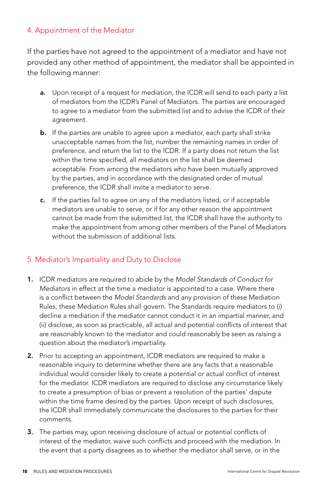# 4. Appointment of the Mediator

If the parties have not agreed to the appointment of a mediator and have not provided any other method of appointment, the mediator shall be appointed in the following manner:

- a. Upon receipt of a request for mediation, the ICDR will send to each party a list of mediators from the ICDR's Panel of Mediators. The parties are encouraged to agree to a mediator from the submitted list and to advise the ICDR of their agreement.
- b. If the parties are unable to agree upon a mediator, each party shall strike unacceptable names from the list, number the remaining names in order of preference, and return the list to the ICDR. If a party does not return the list within the time specified, all mediators on the list shall be deemed acceptable. From among the mediators who have been mutually approved by the parties, and in accordance with the designated order of mutual preference, the ICDR shall invite a mediator to serve.
- c. If the parties fail to agree on any of the mediators listed, or if acceptable mediators are unable to serve, or if for any other reason the appointment cannot be made from the submitted list, the ICDR shall have the authority to make the appointment from among other members of the Panel of Mediators without the submission of additional lists.

# 5. Mediator's Impartiality and Duty to Disclose

- 1. ICDR mediators are required to abide by the *Model Standards of Conduct for Mediators* in effect at the time a mediator is appointed to a case. Where there is a conflict between the *Model Standards* and any provision of these Mediation Rules, these Mediation Rules shall govern. The Standards require mediators to (i) decline a mediation if the mediator cannot conduct it in an impartial manner, and (ii) disclose, as soon as practicable, all actual and potential conflicts of interest that are reasonably known to the mediator and could reasonably be seen as raising a question about the mediator's impartiality.
- **2.** Prior to accepting an appointment, ICDR mediators are required to make a reasonable inquiry to determine whether there are any facts that a reasonable individual would consider likely to create a potential or actual conflict of interest for the mediator. ICDR mediators are required to disclose any circumstance likely to create a presumption of bias or prevent a resolution of the parties' dispute within the time frame desired by the parties. Upon receipt of such disclosures, the ICDR shall immediately communicate the disclosures to the parties for their comments.
- 3. The parties may, upon receiving disclosure of actual or potential conflicts of interest of the mediator, waive such conflicts and proceed with the mediation. In the event that a party disagrees as to whether the mediator shall serve, or in the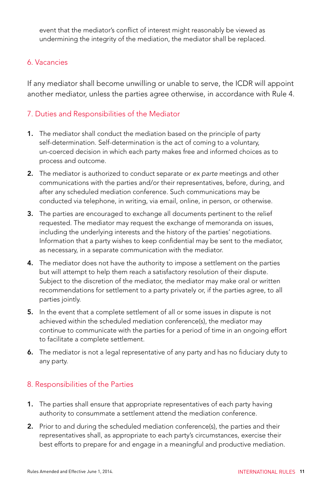event that the mediator's conflict of interest might reasonably be viewed as undermining the integrity of the mediation, the mediator shall be replaced.

#### 6. Vacancies

If any mediator shall become unwilling or unable to serve, the ICDR will appoint another mediator, unless the parties agree otherwise, in accordance with Rule 4.

# 7. Duties and Responsibilities of the Mediator

- 1. The mediator shall conduct the mediation based on the principle of party self-determination. Self-determination is the act of coming to a voluntary, un-coerced decision in which each party makes free and informed choices as to process and outcome.
- 2. The mediator is authorized to conduct separate or *ex parte* meetings and other communications with the parties and/or their representatives, before, during, and after any scheduled mediation conference. Such communications may be conducted via telephone, in writing, via email, online, in person, or otherwise.
- 3. The parties are encouraged to exchange all documents pertinent to the relief requested. The mediator may request the exchange of memoranda on issues, including the underlying interests and the history of the parties' negotiations. Information that a party wishes to keep confidential may be sent to the mediator, as necessary, in a separate communication with the mediator.
- 4. The mediator does not have the authority to impose a settlement on the parties but will attempt to help them reach a satisfactory resolution of their dispute. Subject to the discretion of the mediator, the mediator may make oral or written recommendations for settlement to a party privately or, if the parties agree, to all parties jointly.
- 5. In the event that a complete settlement of all or some issues in dispute is not achieved within the scheduled mediation conference(s), the mediator may continue to communicate with the parties for a period of time in an ongoing effort to facilitate a complete settlement.
- 6. The mediator is not a legal representative of any party and has no fiduciary duty to any party.

# 8. Responsibilities of the Parties

- 1. The parties shall ensure that appropriate representatives of each party having authority to consummate a settlement attend the mediation conference.
- 2. Prior to and during the scheduled mediation conference(s), the parties and their representatives shall, as appropriate to each party's circumstances, exercise their best efforts to prepare for and engage in a meaningful and productive mediation.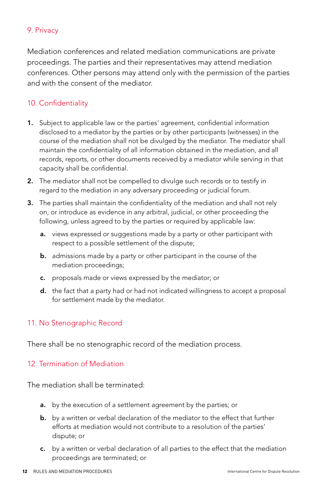# 9. Privacy

Mediation conferences and related mediation communications are private proceedings. The parties and their representatives may attend mediation conferences. Other persons may attend only with the permission of the parties and with the consent of the mediator.

# 10. Confidentiality

- 1. Subject to applicable law or the parties' agreement, confidential information disclosed to a mediator by the parties or by other participants (witnesses) in the course of the mediation shall not be divulged by the mediator. The mediator shall maintain the confidentiality of all information obtained in the mediation, and all records, reports, or other documents received by a mediator while serving in that capacity shall be confidential.
- 2. The mediator shall not be compelled to divulge such records or to testify in regard to the mediation in any adversary proceeding or judicial forum.
- 3. The parties shall maintain the confidentiality of the mediation and shall not rely on, or introduce as evidence in any arbitral, judicial, or other proceeding the following, unless agreed to by the parties or required by applicable law:
	- a. views expressed or suggestions made by a party or other participant with respect to a possible settlement of the dispute;
	- **b.** admissions made by a party or other participant in the course of the mediation proceedings;
	- c. proposals made or views expressed by the mediator; or
	- d. the fact that a party had or had not indicated willingness to accept a proposal for settlement made by the mediator.

#### 11. No Stenographic Record

There shall be no stenographic record of the mediation process.

#### 12. Termination of Mediation

The mediation shall be terminated:

- a. by the execution of a settlement agreement by the parties; or
- b. by a written or verbal declaration of the mediator to the effect that further efforts at mediation would not contribute to a resolution of the parties' dispute; or
- c. by a written or verbal declaration of all parties to the effect that the mediation proceedings are terminated; or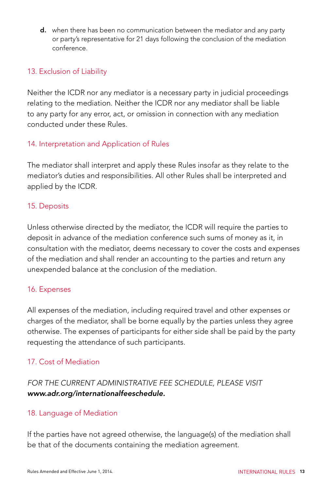d. when there has been no communication between the mediator and any party or party's representative for 21 days following the conclusion of the mediation conference.

# 13. Exclusion of Liability

Neither the ICDR nor any mediator is a necessary party in judicial proceedings relating to the mediation. Neither the ICDR nor any mediator shall be liable to any party for any error, act, or omission in connection with any mediation conducted under these Rules.

#### 14. Interpretation and Application of Rules

The mediator shall interpret and apply these Rules insofar as they relate to the mediator's duties and responsibilities. All other Rules shall be interpreted and applied by the ICDR.

# 15. Deposits

Unless otherwise directed by the mediator, the ICDR will require the parties to deposit in advance of the mediation conference such sums of money as it, in consultation with the mediator, deems necessary to cover the costs and expenses of the mediation and shall render an accounting to the parties and return any unexpended balance at the conclusion of the mediation.

#### 16. Expenses

All expenses of the mediation, including required travel and other expenses or charges of the mediator, shall be borne equally by the parties unless they agree otherwise. The expenses of participants for either side shall be paid by the party requesting the attendance of such participants.

# 17. Cost of Mediation

# *FOR THE CURRENT ADMINISTRATIVE FEE SCHEDULE, PLEASE VISIT www.adr.org/internationalfeeschedule.*

#### 18. Language of Mediation

If the parties have not agreed otherwise, the language(s) of the mediation shall be that of the documents containing the mediation agreement.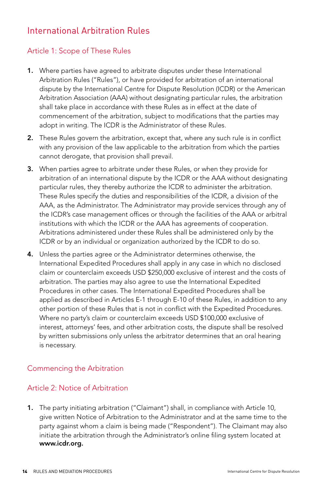# International Arbitration Rules

# Article 1: Scope of These Rules

- 1. Where parties have agreed to arbitrate disputes under these International Arbitration Rules ("Rules"), or have provided for arbitration of an international dispute by the International Centre for Dispute Resolution (ICDR) or the American Arbitration Association (AAA) without designating particular rules, the arbitration shall take place in accordance with these Rules as in effect at the date of commencement of the arbitration, subject to modifications that the parties may adopt in writing. The ICDR is the Administrator of these Rules.
- 2. These Rules govern the arbitration, except that, where any such rule is in conflict with any provision of the law applicable to the arbitration from which the parties cannot derogate, that provision shall prevail.
- 3. When parties agree to arbitrate under these Rules, or when they provide for arbitration of an international dispute by the ICDR or the AAA without designating particular rules, they thereby authorize the ICDR to administer the arbitration. These Rules specify the duties and responsibilities of the ICDR, a division of the AAA, as the Administrator. The Administrator may provide services through any of the ICDR's case management offices or through the facilities of the AAA or arbitral institutions with which the ICDR or the AAA has agreements of cooperation. Arbitrations administered under these Rules shall be administered only by the ICDR or by an individual or organization authorized by the ICDR to do so.
- 4. Unless the parties agree or the Administrator determines otherwise, the International Expedited Procedures shall apply in any case in which no disclosed claim or counterclaim exceeds USD \$250,000 exclusive of interest and the costs of arbitration. The parties may also agree to use the International Expedited Procedures in other cases. The International Expedited Procedures shall be applied as described in Articles E-1 through E-10 of these Rules, in addition to any other portion of these Rules that is not in conflict with the Expedited Procedures. Where no party's claim or counterclaim exceeds USD \$100,000 exclusive of interest, attorneys' fees, and other arbitration costs, the dispute shall be resolved by written submissions only unless the arbitrator determines that an oral hearing is necessary.

#### Commencing the Arbitration

#### Article 2: Notice of Arbitration

1. The party initiating arbitration ("Claimant") shall, in compliance with Article 10, give written Notice of Arbitration to the Administrator and at the same time to the party against whom a claim is being made ("Respondent"). The Claimant may also initiate the arbitration through the Administrator's online filing system located at www.icdr.org.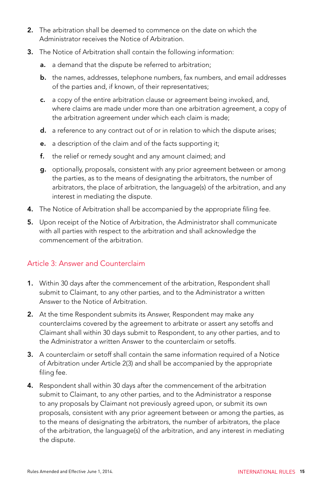- 2. The arbitration shall be deemed to commence on the date on which the Administrator receives the Notice of Arbitration.
- **3.** The Notice of Arbitration shall contain the following information:
	- a. a demand that the dispute be referred to arbitration;
	- b. the names, addresses, telephone numbers, fax numbers, and email addresses of the parties and, if known, of their representatives;
	- c. a copy of the entire arbitration clause or agreement being invoked, and, where claims are made under more than one arbitration agreement, a copy of the arbitration agreement under which each claim is made;
	- d. a reference to any contract out of or in relation to which the dispute arises;
	- e. a description of the claim and of the facts supporting it;
	- f. the relief or remedy sought and any amount claimed; and
	- g. optionally, proposals, consistent with any prior agreement between or among the parties, as to the means of designating the arbitrators, the number of arbitrators, the place of arbitration, the language(s) of the arbitration, and any interest in mediating the dispute.
- **4.** The Notice of Arbitration shall be accompanied by the appropriate filing fee.
- 5. Upon receipt of the Notice of Arbitration, the Administrator shall communicate with all parties with respect to the arbitration and shall acknowledge the commencement of the arbitration.

# Article 3: Answer and Counterclaim

- 1. Within 30 days after the commencement of the arbitration, Respondent shall submit to Claimant, to any other parties, and to the Administrator a written Answer to the Notice of Arbitration.
- 2. At the time Respondent submits its Answer, Respondent may make any counterclaims covered by the agreement to arbitrate or assert any setoffs and Claimant shall within 30 days submit to Respondent, to any other parties, and to the Administrator a written Answer to the counterclaim or setoffs.
- 3. A counterclaim or setoff shall contain the same information required of a Notice of Arbitration under Article 2(3) and shall be accompanied by the appropriate filing fee.
- **4.** Respondent shall within 30 days after the commencement of the arbitration submit to Claimant, to any other parties, and to the Administrator a response to any proposals by Claimant not previously agreed upon, or submit its own proposals, consistent with any prior agreement between or among the parties, as to the means of designating the arbitrators, the number of arbitrators, the place of the arbitration, the language(s) of the arbitration, and any interest in mediating the dispute.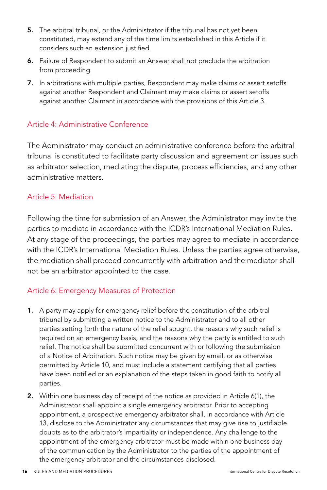- 5. The arbitral tribunal, or the Administrator if the tribunal has not yet been constituted, may extend any of the time limits established in this Article if it considers such an extension justified.
- 6. Failure of Respondent to submit an Answer shall not preclude the arbitration from proceeding.
- 7. In arbitrations with multiple parties, Respondent may make claims or assert setoffs against another Respondent and Claimant may make claims or assert setoffs against another Claimant in accordance with the provisions of this Article 3.

# Article 4: Administrative Conference

The Administrator may conduct an administrative conference before the arbitral tribunal is constituted to facilitate party discussion and agreement on issues such as arbitrator selection, mediating the dispute, process efficiencies, and any other administrative matters.

# Article 5: Mediation

Following the time for submission of an Answer, the Administrator may invite the parties to mediate in accordance with the ICDR's International Mediation Rules. At any stage of the proceedings, the parties may agree to mediate in accordance with the ICDR's International Mediation Rules. Unless the parties agree otherwise, the mediation shall proceed concurrently with arbitration and the mediator shall not be an arbitrator appointed to the case.

# Article 6: Emergency Measures of Protection

- 1. A party may apply for emergency relief before the constitution of the arbitral tribunal by submitting a written notice to the Administrator and to all other parties setting forth the nature of the relief sought, the reasons why such relief is required on an emergency basis, and the reasons why the party is entitled to such relief. The notice shall be submitted concurrent with or following the submission of a Notice of Arbitration. Such notice may be given by email, or as otherwise permitted by Article 10, and must include a statement certifying that all parties have been notified or an explanation of the steps taken in good faith to notify all parties.
- 2. Within one business day of receipt of the notice as provided in Article 6(1), the Administrator shall appoint a single emergency arbitrator. Prior to accepting appointment, a prospective emergency arbitrator shall, in accordance with Article 13, disclose to the Administrator any circumstances that may give rise to justifiable doubts as to the arbitrator's impartiality or independence. Any challenge to the appointment of the emergency arbitrator must be made within one business day of the communication by the Administrator to the parties of the appointment of the emergency arbitrator and the circumstances disclosed.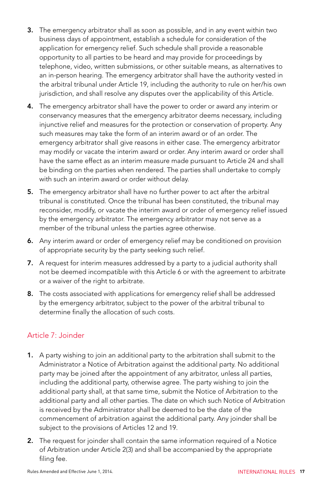- **3.** The emergency arbitrator shall as soon as possible, and in any event within two business days of appointment, establish a schedule for consideration of the application for emergency relief. Such schedule shall provide a reasonable opportunity to all parties to be heard and may provide for proceedings by telephone, video, written submissions, or other suitable means, as alternatives to an in-person hearing. The emergency arbitrator shall have the authority vested in the arbitral tribunal under Article 19, including the authority to rule on her/his own jurisdiction, and shall resolve any disputes over the applicability of this Article.
- 4. The emergency arbitrator shall have the power to order or award any interim or conservancy measures that the emergency arbitrator deems necessary, including injunctive relief and measures for the protection or conservation of property. Any such measures may take the form of an interim award or of an order. The emergency arbitrator shall give reasons in either case. The emergency arbitrator may modify or vacate the interim award or order. Any interim award or order shall have the same effect as an interim measure made pursuant to Article 24 and shall be binding on the parties when rendered. The parties shall undertake to comply with such an interim award or order without delay.
- 5. The emergency arbitrator shall have no further power to act after the arbitral tribunal is constituted. Once the tribunal has been constituted, the tribunal may reconsider, modify, or vacate the interim award or order of emergency relief issued by the emergency arbitrator. The emergency arbitrator may not serve as a member of the tribunal unless the parties agree otherwise.
- 6. Any interim award or order of emergency relief may be conditioned on provision of appropriate security by the party seeking such relief.
- 7. A request for interim measures addressed by a party to a judicial authority shall not be deemed incompatible with this Article 6 or with the agreement to arbitrate or a waiver of the right to arbitrate.
- 8. The costs associated with applications for emergency relief shall be addressed by the emergency arbitrator, subject to the power of the arbitral tribunal to determine finally the allocation of such costs.

#### Article 7: Joinder

- 1. A party wishing to join an additional party to the arbitration shall submit to the Administrator a Notice of Arbitration against the additional party. No additional party may be joined after the appointment of any arbitrator, unless all parties, including the additional party, otherwise agree. The party wishing to join the additional party shall, at that same time, submit the Notice of Arbitration to the additional party and all other parties. The date on which such Notice of Arbitration is received by the Administrator shall be deemed to be the date of the commencement of arbitration against the additional party. Any joinder shall be subject to the provisions of Articles 12 and 19.
- 2. The request for joinder shall contain the same information required of a Notice of Arbitration under Article 2(3) and shall be accompanied by the appropriate filing fee.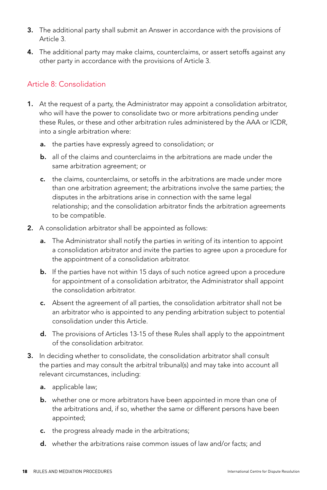- 3. The additional party shall submit an Answer in accordance with the provisions of Article 3.
- 4. The additional party may make claims, counterclaims, or assert setoffs against any other party in accordance with the provisions of Article 3.

#### Article 8: Consolidation

- 1. At the request of a party, the Administrator may appoint a consolidation arbitrator, who will have the power to consolidate two or more arbitrations pending under these Rules, or these and other arbitration rules administered by the AAA or ICDR, into a single arbitration where:
	- a. the parties have expressly agreed to consolidation; or
	- b. all of the claims and counterclaims in the arbitrations are made under the same arbitration agreement; or
	- c. the claims, counterclaims, or setoffs in the arbitrations are made under more than one arbitration agreement; the arbitrations involve the same parties; the disputes in the arbitrations arise in connection with the same legal relationship; and the consolidation arbitrator finds the arbitration agreements to be compatible.
- 2. A consolidation arbitrator shall be appointed as follows:
	- a. The Administrator shall notify the parties in writing of its intention to appoint a consolidation arbitrator and invite the parties to agree upon a procedure for the appointment of a consolidation arbitrator.
	- **b.** If the parties have not within 15 days of such notice agreed upon a procedure for appointment of a consolidation arbitrator, the Administrator shall appoint the consolidation arbitrator.
	- c. Absent the agreement of all parties, the consolidation arbitrator shall not be an arbitrator who is appointed to any pending arbitration subject to potential consolidation under this Article.
	- d. The provisions of Articles 13-15 of these Rules shall apply to the appointment of the consolidation arbitrator.
- 3. In deciding whether to consolidate, the consolidation arbitrator shall consult the parties and may consult the arbitral tribunal(s) and may take into account all relevant circumstances, including:
	- a. applicable law;
	- **b.** whether one or more arbitrators have been appointed in more than one of the arbitrations and, if so, whether the same or different persons have been appointed;
	- c. the progress already made in the arbitrations;
	- d. whether the arbitrations raise common issues of law and/or facts; and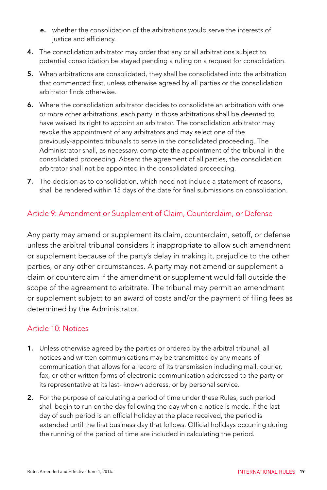- e. whether the consolidation of the arbitrations would serve the interests of justice and efficiency.
- 4. The consolidation arbitrator may order that any or all arbitrations subject to potential consolidation be stayed pending a ruling on a request for consolidation.
- 5. When arbitrations are consolidated, they shall be consolidated into the arbitration that commenced first, unless otherwise agreed by all parties or the consolidation arbitrator finds otherwise.
- 6. Where the consolidation arbitrator decides to consolidate an arbitration with one or more other arbitrations, each party in those arbitrations shall be deemed to have waived its right to appoint an arbitrator. The consolidation arbitrator may revoke the appointment of any arbitrators and may select one of the previously-appointed tribunals to serve in the consolidated proceeding. The Administrator shall, as necessary, complete the appointment of the tribunal in the consolidated proceeding. Absent the agreement of all parties, the consolidation arbitrator shall not be appointed in the consolidated proceeding.
- 7. The decision as to consolidation, which need not include a statement of reasons, shall be rendered within 15 days of the date for final submissions on consolidation.

# Article 9: Amendment or Supplement of Claim, Counterclaim, or Defense

Any party may amend or supplement its claim, counterclaim, setoff, or defense unless the arbitral tribunal considers it inappropriate to allow such amendment or supplement because of the party's delay in making it, prejudice to the other parties, or any other circumstances. A party may not amend or supplement a claim or counterclaim if the amendment or supplement would fall outside the scope of the agreement to arbitrate. The tribunal may permit an amendment or supplement subject to an award of costs and/or the payment of filing fees as determined by the Administrator.

#### Article 10: Notices

- 1. Unless otherwise agreed by the parties or ordered by the arbitral tribunal, all notices and written communications may be transmitted by any means of communication that allows for a record of its transmission including mail, courier, fax, or other written forms of electronic communication addressed to the party or its representative at its last- known address, or by personal service.
- 2. For the purpose of calculating a period of time under these Rules, such period shall begin to run on the day following the day when a notice is made. If the last day of such period is an official holiday at the place received, the period is extended until the first business day that follows. Official holidays occurring during the running of the period of time are included in calculating the period.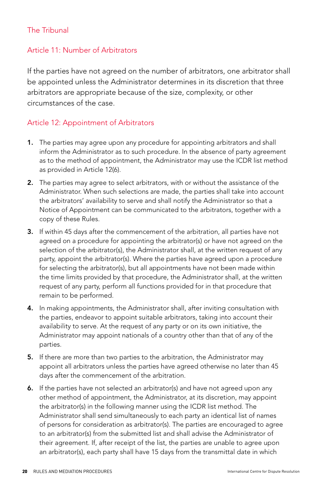# The Tribunal

# Article 11: Number of Arbitrators

If the parties have not agreed on the number of arbitrators, one arbitrator shall be appointed unless the Administrator determines in its discretion that three arbitrators are appropriate because of the size, complexity, or other circumstances of the case.

#### Article 12: Appointment of Arbitrators

- 1. The parties may agree upon any procedure for appointing arbitrators and shall inform the Administrator as to such procedure. In the absence of party agreement as to the method of appointment, the Administrator may use the ICDR list method as provided in Article 12(6).
- 2. The parties may agree to select arbitrators, with or without the assistance of the Administrator. When such selections are made, the parties shall take into account the arbitrators' availability to serve and shall notify the Administrator so that a Notice of Appointment can be communicated to the arbitrators, together with a copy of these Rules.
- 3. If within 45 days after the commencement of the arbitration, all parties have not agreed on a procedure for appointing the arbitrator(s) or have not agreed on the selection of the arbitrator(s), the Administrator shall, at the written request of any party, appoint the arbitrator(s). Where the parties have agreed upon a procedure for selecting the arbitrator(s), but all appointments have not been made within the time limits provided by that procedure, the Administrator shall, at the written request of any party, perform all functions provided for in that procedure that remain to be performed.
- 4. In making appointments, the Administrator shall, after inviting consultation with the parties, endeavor to appoint suitable arbitrators, taking into account their availability to serve. At the request of any party or on its own initiative, the Administrator may appoint nationals of a country other than that of any of the parties.
- 5. If there are more than two parties to the arbitration, the Administrator may appoint all arbitrators unless the parties have agreed otherwise no later than 45 days after the commencement of the arbitration.
- 6. If the parties have not selected an arbitrator(s) and have not agreed upon any other method of appointment, the Administrator, at its discretion, may appoint the arbitrator(s) in the following manner using the ICDR list method. The Administrator shall send simultaneously to each party an identical list of names of persons for consideration as arbitrator(s). The parties are encouraged to agree to an arbitrator(s) from the submitted list and shall advise the Administrator of their agreement. If, after receipt of the list, the parties are unable to agree upon an arbitrator(s), each party shall have 15 days from the transmittal date in which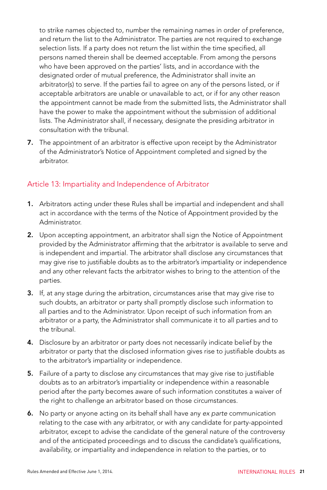to strike names objected to, number the remaining names in order of preference, and return the list to the Administrator. The parties are not required to exchange selection lists. If a party does not return the list within the time specified, all persons named therein shall be deemed acceptable. From among the persons who have been approved on the parties' lists, and in accordance with the designated order of mutual preference, the Administrator shall invite an arbitrator(s) to serve. If the parties fail to agree on any of the persons listed, or if acceptable arbitrators are unable or unavailable to act, or if for any other reason the appointment cannot be made from the submitted lists, the Administrator shall have the power to make the appointment without the submission of additional lists. The Administrator shall, if necessary, designate the presiding arbitrator in consultation with the tribunal.

**7.** The appointment of an arbitrator is effective upon receipt by the Administrator of the Administrator's Notice of Appointment completed and signed by the arbitrator.

#### Article 13: Impartiality and Independence of Arbitrator

- 1. Arbitrators acting under these Rules shall be impartial and independent and shall act in accordance with the terms of the Notice of Appointment provided by the Administrator.
- 2. Upon accepting appointment, an arbitrator shall sign the Notice of Appointment provided by the Administrator affirming that the arbitrator is available to serve and is independent and impartial. The arbitrator shall disclose any circumstances that may give rise to justifiable doubts as to the arbitrator's impartiality or independence and any other relevant facts the arbitrator wishes to bring to the attention of the parties.
- 3. If, at any stage during the arbitration, circumstances arise that may give rise to such doubts, an arbitrator or party shall promptly disclose such information to all parties and to the Administrator. Upon receipt of such information from an arbitrator or a party, the Administrator shall communicate it to all parties and to the tribunal.
- 4. Disclosure by an arbitrator or party does not necessarily indicate belief by the arbitrator or party that the disclosed information gives rise to justifiable doubts as to the arbitrator's impartiality or independence.
- 5. Failure of a party to disclose any circumstances that may give rise to justifiable doubts as to an arbitrator's impartiality or independence within a reasonable period after the party becomes aware of such information constitutes a waiver of the right to challenge an arbitrator based on those circumstances.
- 6. No party or anyone acting on its behalf shall have any *ex parte* communication relating to the case with any arbitrator, or with any candidate for party-appointed arbitrator, except to advise the candidate of the general nature of the controversy and of the anticipated proceedings and to discuss the candidate's qualifications, availability, or impartiality and independence in relation to the parties, or to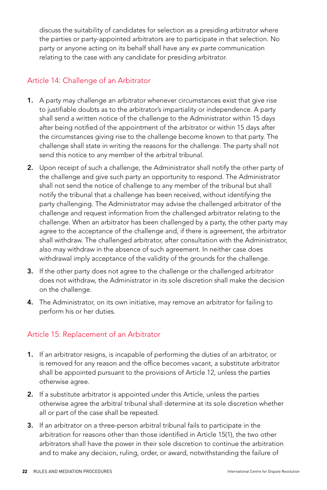discuss the suitability of candidates for selection as a presiding arbitrator where the parties or party-appointed arbitrators are to participate in that selection. No party or anyone acting on its behalf shall have any *ex parte* communication relating to the case with any candidate for presiding arbitrator.

# Article 14: Challenge of an Arbitrator

- 1. A party may challenge an arbitrator whenever circumstances exist that give rise to justifiable doubts as to the arbitrator's impartiality or independence. A party shall send a written notice of the challenge to the Administrator within 15 days after being notified of the appointment of the arbitrator or within 15 days after the circumstances giving rise to the challenge become known to that party. The challenge shall state in writing the reasons for the challenge. The party shall not send this notice to any member of the arbitral tribunal.
- 2. Upon receipt of such a challenge, the Administrator shall notify the other party of the challenge and give such party an opportunity to respond. The Administrator shall not send the notice of challenge to any member of the tribunal but shall notify the tribunal that a challenge has been received, without identifying the party challenging. The Administrator may advise the challenged arbitrator of the challenge and request information from the challenged arbitrator relating to the challenge. When an arbitrator has been challenged by a party, the other party may agree to the acceptance of the challenge and, if there is agreement, the arbitrator shall withdraw. The challenged arbitrator, after consultation with the Administrator, also may withdraw in the absence of such agreement. In neither case does withdrawal imply acceptance of the validity of the grounds for the challenge.
- 3. If the other party does not agree to the challenge or the challenged arbitrator does not withdraw, the Administrator in its sole discretion shall make the decision on the challenge.
- 4. The Administrator, on its own initiative, may remove an arbitrator for failing to perform his or her duties.

#### Article 15: Replacement of an Arbitrator

- 1. If an arbitrator resigns, is incapable of performing the duties of an arbitrator, or is removed for any reason and the office becomes vacant, a substitute arbitrator shall be appointed pursuant to the provisions of Article 12, unless the parties otherwise agree.
- 2. If a substitute arbitrator is appointed under this Article, unless the parties otherwise agree the arbitral tribunal shall determine at its sole discretion whether all or part of the case shall be repeated.
- 3. If an arbitrator on a three-person arbitral tribunal fails to participate in the arbitration for reasons other than those identified in Article 15(1), the two other arbitrators shall have the power in their sole discretion to continue the arbitration and to make any decision, ruling, order, or award, notwithstanding the failure of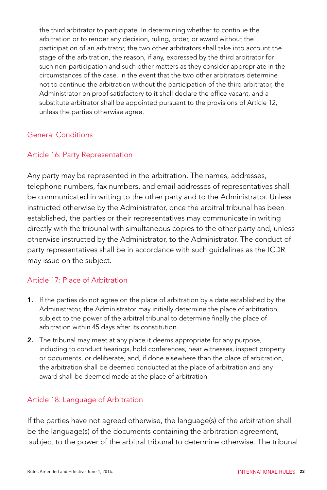the third arbitrator to participate. In determining whether to continue the arbitration or to render any decision, ruling, order, or award without the participation of an arbitrator, the two other arbitrators shall take into account the stage of the arbitration, the reason, if any, expressed by the third arbitrator for such non-participation and such other matters as they consider appropriate in the circumstances of the case. In the event that the two other arbitrators determine not to continue the arbitration without the participation of the third arbitrator, the Administrator on proof satisfactory to it shall declare the office vacant, and a substitute arbitrator shall be appointed pursuant to the provisions of Article 12, unless the parties otherwise agree.

# General Conditions

#### Article 16: Party Representation

Any party may be represented in the arbitration. The names, addresses, telephone numbers, fax numbers, and email addresses of representatives shall be communicated in writing to the other party and to the Administrator. Unless instructed otherwise by the Administrator, once the arbitral tribunal has been established, the parties or their representatives may communicate in writing directly with the tribunal with simultaneous copies to the other party and, unless otherwise instructed by the Administrator, to the Administrator. The conduct of party representatives shall be in accordance with such guidelines as the ICDR may issue on the subject.

# Article 17: Place of Arbitration

- 1. If the parties do not agree on the place of arbitration by a date established by the Administrator, the Administrator may initially determine the place of arbitration, subject to the power of the arbitral tribunal to determine finally the place of arbitration within 45 days after its constitution.
- 2. The tribunal may meet at any place it deems appropriate for any purpose, including to conduct hearings, hold conferences, hear witnesses, inspect property or documents, or deliberate, and, if done elsewhere than the place of arbitration, the arbitration shall be deemed conducted at the place of arbitration and any award shall be deemed made at the place of arbitration.

#### Article 18: Language of Arbitration

If the parties have not agreed otherwise, the language(s) of the arbitration shall be the language(s) of the documents containing the arbitration agreement, subject to the power of the arbitral tribunal to determine otherwise. The tribunal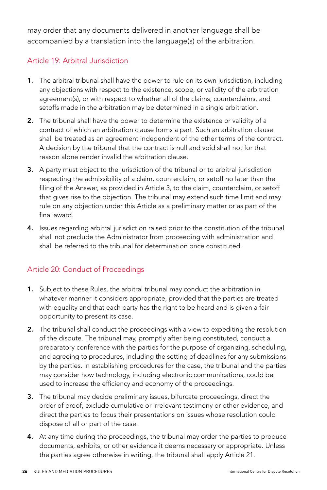may order that any documents delivered in another language shall be accompanied by a translation into the language(s) of the arbitration.

# Article 19: Arbitral Jurisdiction

- 1. The arbitral tribunal shall have the power to rule on its own jurisdiction, including any objections with respect to the existence, scope, or validity of the arbitration agreement(s), or with respect to whether all of the claims, counterclaims, and setoffs made in the arbitration may be determined in a single arbitration.
- 2. The tribunal shall have the power to determine the existence or validity of a contract of which an arbitration clause forms a part. Such an arbitration clause shall be treated as an agreement independent of the other terms of the contract. A decision by the tribunal that the contract is null and void shall not for that reason alone render invalid the arbitration clause.
- **3.** A party must object to the jurisdiction of the tribunal or to arbitral jurisdiction respecting the admissibility of a claim, counterclaim, or setoff no later than the filing of the Answer, as provided in Article 3, to the claim, counterclaim, or setoff that gives rise to the objection. The tribunal may extend such time limit and may rule on any objection under this Article as a preliminary matter or as part of the final award.
- 4. Issues regarding arbitral jurisdiction raised prior to the constitution of the tribunal shall not preclude the Administrator from proceeding with administration and shall be referred to the tribunal for determination once constituted.

# Article 20: Conduct of Proceedings

- 1. Subject to these Rules, the arbitral tribunal may conduct the arbitration in whatever manner it considers appropriate, provided that the parties are treated with equality and that each party has the right to be heard and is given a fair opportunity to present its case.
- 2. The tribunal shall conduct the proceedings with a view to expediting the resolution of the dispute. The tribunal may, promptly after being constituted, conduct a preparatory conference with the parties for the purpose of organizing, scheduling, and agreeing to procedures, including the setting of deadlines for any submissions by the parties. In establishing procedures for the case, the tribunal and the parties may consider how technology, including electronic communications, could be used to increase the efficiency and economy of the proceedings.
- 3. The tribunal may decide preliminary issues, bifurcate proceedings, direct the order of proof, exclude cumulative or irrelevant testimony or other evidence, and direct the parties to focus their presentations on issues whose resolution could dispose of all or part of the case.
- 4. At any time during the proceedings, the tribunal may order the parties to produce documents, exhibits, or other evidence it deems necessary or appropriate. Unless the parties agree otherwise in writing, the tribunal shall apply Article 21.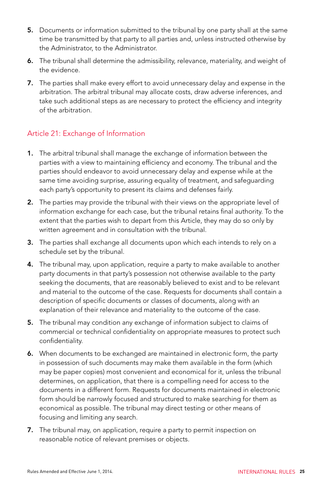- 5. Documents or information submitted to the tribunal by one party shall at the same time be transmitted by that party to all parties and, unless instructed otherwise by the Administrator, to the Administrator.
- 6. The tribunal shall determine the admissibility, relevance, materiality, and weight of the evidence.
- 7. The parties shall make every effort to avoid unnecessary delay and expense in the arbitration. The arbitral tribunal may allocate costs, draw adverse inferences, and take such additional steps as are necessary to protect the efficiency and integrity of the arbitration.

# Article 21: Exchange of Information

- 1. The arbitral tribunal shall manage the exchange of information between the parties with a view to maintaining efficiency and economy. The tribunal and the parties should endeavor to avoid unnecessary delay and expense while at the same time avoiding surprise, assuring equality of treatment, and safeguarding each party's opportunity to present its claims and defenses fairly.
- 2. The parties may provide the tribunal with their views on the appropriate level of information exchange for each case, but the tribunal retains final authority. To the extent that the parties wish to depart from this Article, they may do so only by written agreement and in consultation with the tribunal.
- 3. The parties shall exchange all documents upon which each intends to rely on a schedule set by the tribunal.
- 4. The tribunal may, upon application, require a party to make available to another party documents in that party's possession not otherwise available to the party seeking the documents, that are reasonably believed to exist and to be relevant and material to the outcome of the case. Requests for documents shall contain a description of specific documents or classes of documents, along with an explanation of their relevance and materiality to the outcome of the case.
- 5. The tribunal may condition any exchange of information subject to claims of commercial or technical confidentiality on appropriate measures to protect such confidentiality.
- 6. When documents to be exchanged are maintained in electronic form, the party in possession of such documents may make them available in the form (which may be paper copies) most convenient and economical for it, unless the tribunal determines, on application, that there is a compelling need for access to the documents in a different form. Requests for documents maintained in electronic form should be narrowly focused and structured to make searching for them as economical as possible. The tribunal may direct testing or other means of focusing and limiting any search.
- 7. The tribunal may, on application, require a party to permit inspection on reasonable notice of relevant premises or objects.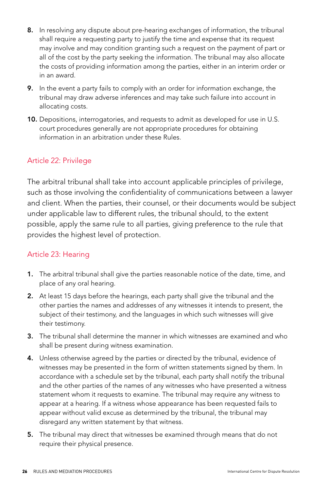- 8. In resolving any dispute about pre-hearing exchanges of information, the tribunal shall require a requesting party to justify the time and expense that its request may involve and may condition granting such a request on the payment of part or all of the cost by the party seeking the information. The tribunal may also allocate the costs of providing information among the parties, either in an interim order or in an award.
- 9. In the event a party fails to comply with an order for information exchange, the tribunal may draw adverse inferences and may take such failure into account in allocating costs.
- **10.** Depositions, interrogatories, and requests to admit as developed for use in U.S. court procedures generally are not appropriate procedures for obtaining information in an arbitration under these Rules.

# Article 22: Privilege

The arbitral tribunal shall take into account applicable principles of privilege, such as those involving the confidentiality of communications between a lawyer and client. When the parties, their counsel, or their documents would be subject under applicable law to different rules, the tribunal should, to the extent possible, apply the same rule to all parties, giving preference to the rule that provides the highest level of protection.

#### Article 23: Hearing

- 1. The arbitral tribunal shall give the parties reasonable notice of the date, time, and place of any oral hearing.
- 2. At least 15 days before the hearings, each party shall give the tribunal and the other parties the names and addresses of any witnesses it intends to present, the subject of their testimony, and the languages in which such witnesses will give their testimony.
- 3. The tribunal shall determine the manner in which witnesses are examined and who shall be present during witness examination.
- 4. Unless otherwise agreed by the parties or directed by the tribunal, evidence of witnesses may be presented in the form of written statements signed by them. In accordance with a schedule set by the tribunal, each party shall notify the tribunal and the other parties of the names of any witnesses who have presented a witness statement whom it requests to examine. The tribunal may require any witness to appear at a hearing. If a witness whose appearance has been requested fails to appear without valid excuse as determined by the tribunal, the tribunal may disregard any written statement by that witness.
- 5. The tribunal may direct that witnesses be examined through means that do not require their physical presence.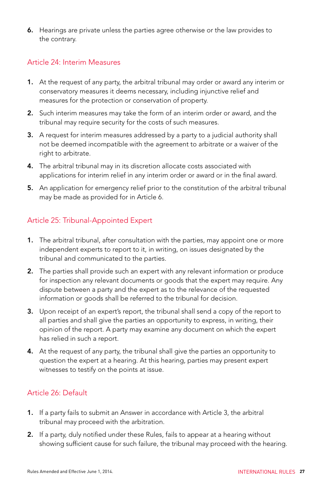6. Hearings are private unless the parties agree otherwise or the law provides to the contrary.

#### Article 24: Interim Measures

- 1. At the request of any party, the arbitral tribunal may order or award any interim or conservatory measures it deems necessary, including injunctive relief and measures for the protection or conservation of property.
- 2. Such interim measures may take the form of an interim order or award, and the tribunal may require security for the costs of such measures.
- 3. A request for interim measures addressed by a party to a judicial authority shall not be deemed incompatible with the agreement to arbitrate or a waiver of the right to arbitrate.
- 4. The arbitral tribunal may in its discretion allocate costs associated with applications for interim relief in any interim order or award or in the final award.
- **5.** An application for emergency relief prior to the constitution of the arbitral tribunal may be made as provided for in Article 6.

# Article 25: Tribunal-Appointed Expert

- 1. The arbitral tribunal, after consultation with the parties, may appoint one or more independent experts to report to it, in writing, on issues designated by the tribunal and communicated to the parties.
- 2. The parties shall provide such an expert with any relevant information or produce for inspection any relevant documents or goods that the expert may require. Any dispute between a party and the expert as to the relevance of the requested information or goods shall be referred to the tribunal for decision.
- 3. Upon receipt of an expert's report, the tribunal shall send a copy of the report to all parties and shall give the parties an opportunity to express, in writing, their opinion of the report. A party may examine any document on which the expert has relied in such a report.
- 4. At the request of any party, the tribunal shall give the parties an opportunity to question the expert at a hearing. At this hearing, parties may present expert witnesses to testify on the points at issue.

#### Article 26: Default

- 1. If a party fails to submit an Answer in accordance with Article 3, the arbitral tribunal may proceed with the arbitration.
- 2. If a party, duly notified under these Rules, fails to appear at a hearing without showing sufficient cause for such failure, the tribunal may proceed with the hearing.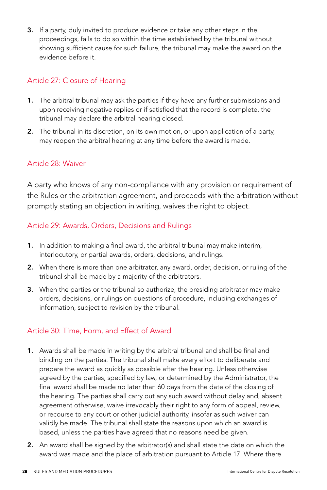3. If a party, duly invited to produce evidence or take any other steps in the proceedings, fails to do so within the time established by the tribunal without showing sufficient cause for such failure, the tribunal may make the award on the evidence before it.

#### Article 27: Closure of Hearing

- 1. The arbitral tribunal may ask the parties if they have any further submissions and upon receiving negative replies or if satisfied that the record is complete, the tribunal may declare the arbitral hearing closed.
- 2. The tribunal in its discretion, on its own motion, or upon application of a party, may reopen the arbitral hearing at any time before the award is made.

# Article 28: Waiver

A party who knows of any non-compliance with any provision or requirement of the Rules or the arbitration agreement, and proceeds with the arbitration without promptly stating an objection in writing, waives the right to object.

# Article 29: Awards, Orders, Decisions and Rulings

- 1. In addition to making a final award, the arbitral tribunal may make interim, interlocutory, or partial awards, orders, decisions, and rulings.
- 2. When there is more than one arbitrator, any award, order, decision, or ruling of the tribunal shall be made by a majority of the arbitrators.
- **3.** When the parties or the tribunal so authorize, the presiding arbitrator may make orders, decisions, or rulings on questions of procedure, including exchanges of information, subject to revision by the tribunal.

# Article 30: Time, Form, and Effect of Award

- 1. Awards shall be made in writing by the arbitral tribunal and shall be final and binding on the parties. The tribunal shall make every effort to deliberate and prepare the award as quickly as possible after the hearing. Unless otherwise agreed by the parties, specified by law, or determined by the Administrator, the final award shall be made no later than 60 days from the date of the closing of the hearing. The parties shall carry out any such award without delay and, absent agreement otherwise, waive irrevocably their right to any form of appeal, review, or recourse to any court or other judicial authority, insofar as such waiver can validly be made. The tribunal shall state the reasons upon which an award is based, unless the parties have agreed that no reasons need be given.
- 2. An award shall be signed by the arbitrator(s) and shall state the date on which the award was made and the place of arbitration pursuant to Article 17. Where there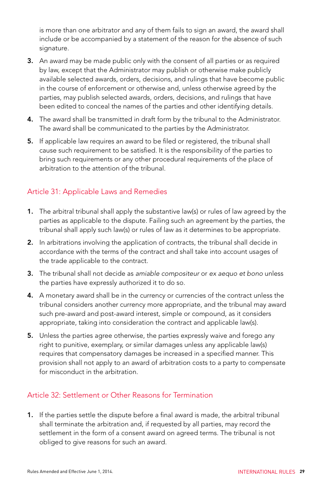is more than one arbitrator and any of them fails to sign an award, the award shall include or be accompanied by a statement of the reason for the absence of such signature.

- 3. An award may be made public only with the consent of all parties or as required by law, except that the Administrator may publish or otherwise make publicly available selected awards, orders, decisions, and rulings that have become public in the course of enforcement or otherwise and, unless otherwise agreed by the parties, may publish selected awards, orders, decisions, and rulings that have been edited to conceal the names of the parties and other identifying details.
- 4. The award shall be transmitted in draft form by the tribunal to the Administrator. The award shall be communicated to the parties by the Administrator.
- 5. If applicable law requires an award to be filed or registered, the tribunal shall cause such requirement to be satisfied. It is the responsibility of the parties to bring such requirements or any other procedural requirements of the place of arbitration to the attention of the tribunal.

# Article 31: Applicable Laws and Remedies

- 1. The arbitral tribunal shall apply the substantive law(s) or rules of law agreed by the parties as applicable to the dispute. Failing such an agreement by the parties, the tribunal shall apply such law(s) or rules of law as it determines to be appropriate.
- 2. In arbitrations involving the application of contracts, the tribunal shall decide in accordance with the terms of the contract and shall take into account usages of the trade applicable to the contract.
- 3. The tribunal shall not decide as *amiable compositeur* or *ex aequo et bono* unless the parties have expressly authorized it to do so.
- 4. A monetary award shall be in the currency or currencies of the contract unless the tribunal considers another currency more appropriate, and the tribunal may award such pre-award and post-award interest, simple or compound, as it considers appropriate, taking into consideration the contract and applicable law(s).
- 5. Unless the parties agree otherwise, the parties expressly waive and forego any right to punitive, exemplary, or similar damages unless any applicable law(s) requires that compensatory damages be increased in a specified manner. This provision shall not apply to an award of arbitration costs to a party to compensate for misconduct in the arbitration.

# Article 32: Settlement or Other Reasons for Termination

1. If the parties settle the dispute before a final award is made, the arbitral tribunal shall terminate the arbitration and, if requested by all parties, may record the settlement in the form of a consent award on agreed terms. The tribunal is not obliged to give reasons for such an award.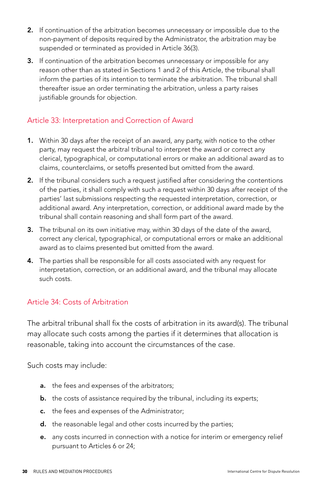- 2. If continuation of the arbitration becomes unnecessary or impossible due to the non-payment of deposits required by the Administrator, the arbitration may be suspended or terminated as provided in Article 36(3).
- 3. If continuation of the arbitration becomes unnecessary or impossible for any reason other than as stated in Sections 1 and 2 of this Article, the tribunal shall inform the parties of its intention to terminate the arbitration. The tribunal shall thereafter issue an order terminating the arbitration, unless a party raises justifiable grounds for objection.

# Article 33: Interpretation and Correction of Award

- 1. Within 30 days after the receipt of an award, any party, with notice to the other party, may request the arbitral tribunal to interpret the award or correct any clerical, typographical, or computational errors or make an additional award as to claims, counterclaims, or setoffs presented but omitted from the award.
- 2. If the tribunal considers such a request justified after considering the contentions of the parties, it shall comply with such a request within 30 days after receipt of the parties' last submissions respecting the requested interpretation, correction, or additional award. Any interpretation, correction, or additional award made by the tribunal shall contain reasoning and shall form part of the award.
- 3. The tribunal on its own initiative may, within 30 days of the date of the award, correct any clerical, typographical, or computational errors or make an additional award as to claims presented but omitted from the award.
- 4. The parties shall be responsible for all costs associated with any request for interpretation, correction, or an additional award, and the tribunal may allocate such costs.

# Article 34: Costs of Arbitration

The arbitral tribunal shall fix the costs of arbitration in its award(s). The tribunal may allocate such costs among the parties if it determines that allocation is reasonable, taking into account the circumstances of the case.

Such costs may include:

- a. the fees and expenses of the arbitrators;
- **b.** the costs of assistance required by the tribunal, including its experts;
- c. the fees and expenses of the Administrator;
- d. the reasonable legal and other costs incurred by the parties;
- e. any costs incurred in connection with a notice for interim or emergency relief pursuant to Articles 6 or 24;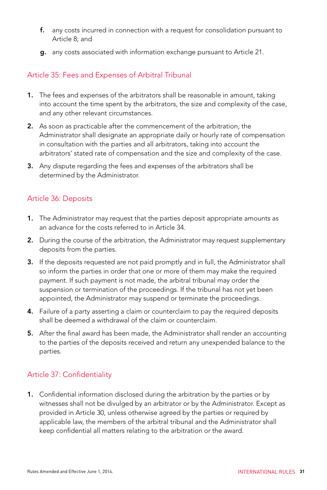- f. any costs incurred in connection with a request for consolidation pursuant to Article 8; and
- g. any costs associated with information exchange pursuant to Article 21.

# Article 35: Fees and Expenses of Arbitral Tribunal

- 1. The fees and expenses of the arbitrators shall be reasonable in amount, taking into account the time spent by the arbitrators, the size and complexity of the case, and any other relevant circumstances.
- 2. As soon as practicable after the commencement of the arbitration, the Administrator shall designate an appropriate daily or hourly rate of compensation in consultation with the parties and all arbitrators, taking into account the arbitrators' stated rate of compensation and the size and complexity of the case.
- 3. Any dispute regarding the fees and expenses of the arbitrators shall be determined by the Administrator.

#### Article 36: Deposits

- 1. The Administrator may request that the parties deposit appropriate amounts as an advance for the costs referred to in Article 34.
- 2. During the course of the arbitration, the Administrator may request supplementary deposits from the parties.
- 3. If the deposits requested are not paid promptly and in full, the Administrator shall so inform the parties in order that one or more of them may make the required payment. If such payment is not made, the arbitral tribunal may order the suspension or termination of the proceedings. If the tribunal has not yet been appointed, the Administrator may suspend or terminate the proceedings.
- 4. Failure of a party asserting a claim or counterclaim to pay the required deposits shall be deemed a withdrawal of the claim or counterclaim.
- 5. After the final award has been made, the Administrator shall render an accounting to the parties of the deposits received and return any unexpended balance to the parties.

#### Article 37: Confidentiality

1. Confidential information disclosed during the arbitration by the parties or by witnesses shall not be divulged by an arbitrator or by the Administrator. Except as provided in Article 30, unless otherwise agreed by the parties or required by applicable law, the members of the arbitral tribunal and the Administrator shall keep confidential all matters relating to the arbitration or the award.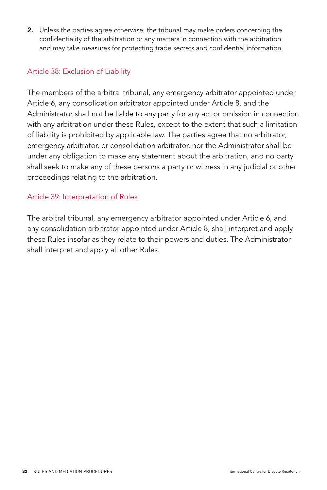2. Unless the parties agree otherwise, the tribunal may make orders concerning the confidentiality of the arbitration or any matters in connection with the arbitration and may take measures for protecting trade secrets and confidential information.

# Article 38: Exclusion of Liability

The members of the arbitral tribunal, any emergency arbitrator appointed under Article 6, any consolidation arbitrator appointed under Article 8, and the Administrator shall not be liable to any party for any act or omission in connection with any arbitration under these Rules, except to the extent that such a limitation of liability is prohibited by applicable law. The parties agree that no arbitrator, emergency arbitrator, or consolidation arbitrator, nor the Administrator shall be under any obligation to make any statement about the arbitration, and no party shall seek to make any of these persons a party or witness in any judicial or other proceedings relating to the arbitration.

#### Article 39: Interpretation of Rules

The arbitral tribunal, any emergency arbitrator appointed under Article 6, and any consolidation arbitrator appointed under Article 8, shall interpret and apply these Rules insofar as they relate to their powers and duties. The Administrator shall interpret and apply all other Rules.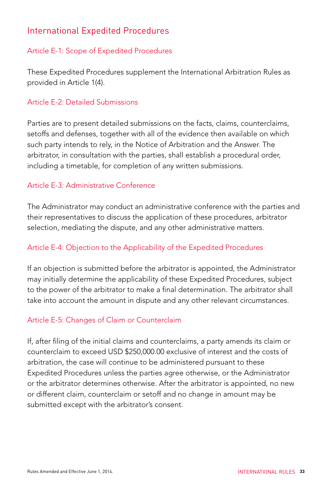# International Expedited Procedures

# Article E-1: Scope of Expedited Procedures

These Expedited Procedures supplement the International Arbitration Rules as provided in Article 1(4).

# Article E-2: Detailed Submissions

Parties are to present detailed submissions on the facts, claims, counterclaims, setoffs and defenses, together with all of the evidence then available on which such party intends to rely, in the Notice of Arbitration and the Answer. The arbitrator, in consultation with the parties, shall establish a procedural order, including a timetable, for completion of any written submissions.

# Article E-3: Administrative Conference

The Administrator may conduct an administrative conference with the parties and their representatives to discuss the application of these procedures, arbitrator selection, mediating the dispute, and any other administrative matters.

# Article E-4: Objection to the Applicability of the Expedited Procedures

If an objection is submitted before the arbitrator is appointed, the Administrator may initially determine the applicability of these Expedited Procedures, subject to the power of the arbitrator to make a final determination. The arbitrator shall take into account the amount in dispute and any other relevant circumstances.

# Article E-5: Changes of Claim or Counterclaim

If, after filing of the initial claims and counterclaims, a party amends its claim or counterclaim to exceed USD \$250,000.00 exclusive of interest and the costs of arbitration, the case will continue to be administered pursuant to these Expedited Procedures unless the parties agree otherwise, or the Administrator or the arbitrator determines otherwise. After the arbitrator is appointed, no new or different claim, counterclaim or setoff and no change in amount may be submitted except with the arbitrator's consent.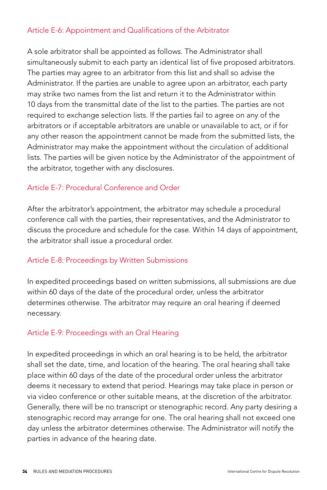# Article E-6: Appointment and Qualifications of the Arbitrator

A sole arbitrator shall be appointed as follows. The Administrator shall simultaneously submit to each party an identical list of five proposed arbitrators. The parties may agree to an arbitrator from this list and shall so advise the Administrator. If the parties are unable to agree upon an arbitrator, each party may strike two names from the list and return it to the Administrator within 10 days from the transmittal date of the list to the parties. The parties are not required to exchange selection lists. If the parties fail to agree on any of the arbitrators or if acceptable arbitrators are unable or unavailable to act, or if for any other reason the appointment cannot be made from the submitted lists, the Administrator may make the appointment without the circulation of additional lists. The parties will be given notice by the Administrator of the appointment of the arbitrator, together with any disclosures.

# Article E-7: Procedural Conference and Order

After the arbitrator's appointment, the arbitrator may schedule a procedural conference call with the parties, their representatives, and the Administrator to discuss the procedure and schedule for the case. Within 14 days of appointment, the arbitrator shall issue a procedural order.

#### Article E-8: Proceedings by Written Submissions

In expedited proceedings based on written submissions, all submissions are due within 60 days of the date of the procedural order, unless the arbitrator determines otherwise. The arbitrator may require an oral hearing if deemed necessary.

#### Article E-9: Proceedings with an Oral Hearing

In expedited proceedings in which an oral hearing is to be held, the arbitrator shall set the date, time, and location of the hearing. The oral hearing shall take place within 60 days of the date of the procedural order unless the arbitrator deems it necessary to extend that period. Hearings may take place in person or via video conference or other suitable means, at the discretion of the arbitrator. Generally, there will be no transcript or stenographic record. Any party desiring a stenographic record may arrange for one. The oral hearing shall not exceed one day unless the arbitrator determines otherwise. The Administrator will notify the parties in advance of the hearing date.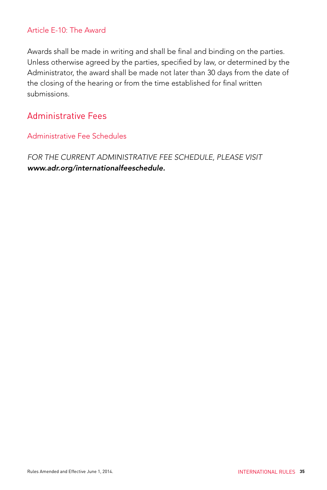#### Article E-10: The Award

Awards shall be made in writing and shall be final and binding on the parties. Unless otherwise agreed by the parties, specified by law, or determined by the Administrator, the award shall be made not later than 30 days from the date of the closing of the hearing or from the time established for final written submissions.

# Administrative Fees

Administrative Fee Schedules

*FOR THE CURRENT ADMINISTRATIVE FEE SCHEDULE, PLEASE VISIT www.adr.org/internationalfeeschedule.*